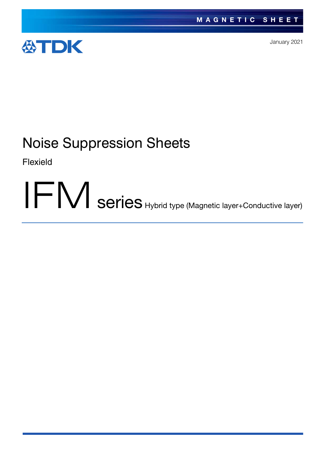

January 2021

# Noise Suppression Sheets

Flexield

IFM series Hybrid type (Magnetic layer+Conductive layer)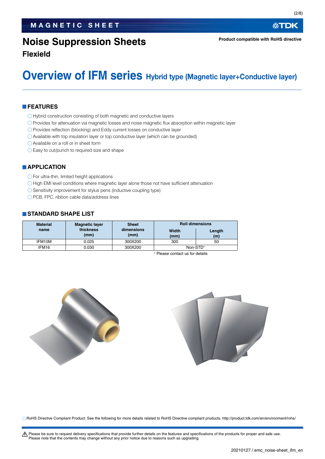## **Noise Suppression Sheets**

公TDK

**Product compatible with RoHS directive**

**Flexield**

## **Overview of IFM series** Hybrid type (Magnetic layer+Conductive layer)

#### **FEATURES**

- O Hybrid construction consisting of both magnetic and conductive layers
- Provides for attenuation via magnetic losses and noise magnetic flux absorption within magnetic layer
- O Provides reflection (blocking) and Eddy current losses on conductive layer
- Available with top insulation layer or top conductive layer (which can be grounded)
- Available on a roll or in sheet form
- $\bigcirc$  Easy to cut/punch to required size and shape

#### **APPLICATION**

- $\bigcirc$  For ultra-thin, limited height applications
- $\bigcirc$  High EMI level conditions where magnetic layer alone those not have sufficient attenuation
- $\bigcirc$  Sensitivity improvement for stylus pens (inductive coupling type)
- O PCB, FPC, ribbon cable data/address lines

#### **STANDARD SHAPE LIST**

| <b>Material</b> | <b>Magnetic layer</b> | <b>Sheet</b>       | <b>Roll dimensions</b> |               |  |
|-----------------|-----------------------|--------------------|------------------------|---------------|--|
| name            | thickness<br>(mm)     | dimensions<br>(mm) | Width<br>(mm)          | Length<br>(m) |  |
| IFM10M          | 0.025                 | 300X200            | 300                    | 50            |  |
| IFM16           | 0.030                 | 300X200            |                        | Non-STD*      |  |

Please contact us for details





RoHS Directive Compliant Product: See the following for more details related to RoHS Directive compliant products. http://product.tdk.com/en/environment/rohs/

A Please be sure to request delivery specifications that provide further details on the features and specifications of the products for proper and safe use. Please note that the contents may change without any prior notice due to reasons such as upgrading.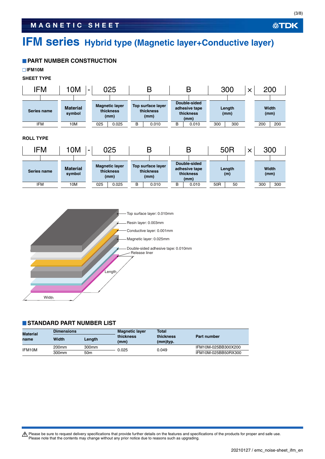## **IFM series Hybrid type (Magnetic layer+Conductive layer)**

### **PART NUMBER CONSTRUCTION**

**IFM10M**

**SHEET TYPE** 







#### **STANDARD PART NUMBER LIST**

| Material<br>name | <b>Dimensions</b> |                   | <b>Magnetic layer</b> | <b>Total</b>          | <b>Part number</b>  |  |
|------------------|-------------------|-------------------|-----------------------|-----------------------|---------------------|--|
|                  | Width             | Length            | thickness<br>(mm)     | thickness<br>(mm)typ. |                     |  |
| IFM10M           | 200 <sub>mm</sub> | 300 <sub>mm</sub> | 0.025                 | 0.049                 | IFM10M-025BB300X200 |  |
|                  | 300mm             | 50m               |                       |                       | IFM10M-025BB50RX300 |  |

Please be sure to request delivery specifications that provide further details on the features and specifications of the products for proper and safe use.<br>Please note that the contents may change without any prior notice d

**公TDK**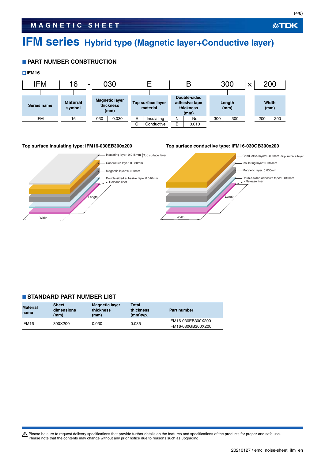## **IFM series Hybrid type (Magnetic layer+Conductive layer)**

#### **PART NUMBER CONSTRUCTION**



#### **Top surface insulating type: IFM16-030EB300x200 Top surface conductive type: IFM16-030GB300x200**



#### **STANDARD PART NUMBER LIST**

| <b>Material</b><br>name | <b>Sheet</b><br>dimensions<br>(mm) | <b>Magnetic layer</b><br>thickness<br>(mm) | <b>Total</b><br>thickness<br>(mm)typ. | Part number        |  |  |
|-------------------------|------------------------------------|--------------------------------------------|---------------------------------------|--------------------|--|--|
| IFM <sub>16</sub>       | 300X200                            | 0.030                                      | 0.085                                 | IFM16-030EB300X200 |  |  |
|                         |                                    |                                            |                                       | IFM16-030GB300X200 |  |  |

Please be sure to request delivery specifications that provide further details on the features and specifications of the products for proper and safe use.<br>Please note that the contents may change without any prior notice d

**公TDK**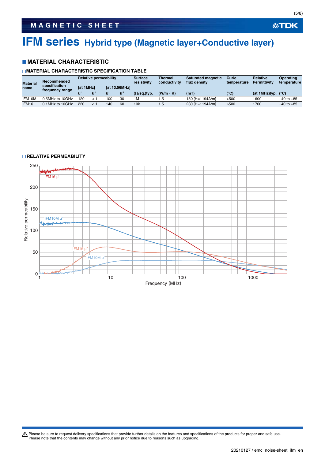## **IFM series Hybrid type (Magnetic layer+Conductive layer)**

#### **MATERIAL CHARACTERISTIC**

#### **MATERIAL CHARACTERISTIC SPECIFICATION TABLE**

| <b>Material</b> | Recommended<br>specification<br>frequency range | <b>Relative permeability</b> |  |                      | <b>Surface</b><br>resistivity | Thermal<br>conductivity    | <b>Saturated magnetic</b><br>flux density | Curie<br>temperature | <b>Relative</b><br><b>Permittivity</b> | Operating<br>temperature |                |
|-----------------|-------------------------------------------------|------------------------------|--|----------------------|-------------------------------|----------------------------|-------------------------------------------|----------------------|----------------------------------------|--------------------------|----------------|
| name            |                                                 | <b>Tat 1MHz1</b>             |  | <b>Tat 13.56MHz1</b> |                               |                            |                                           |                      |                                        |                          |                |
|                 |                                                 |                              |  |                      | ้น"                           | $(\Omega/\text{sq.})$ typ. | $(W/m \cdot K)$                           | (mT)                 | (°C)                                   | (at 1MHz)typ.            | $(^{\circ}C)$  |
| IFM10M          | 0.5MHz to 10GHz                                 | 120                          |  | 100                  | 30                            | 1M                         | .5                                        | 150 [H=1194A/m]      | >500                                   | 1600                     | $-40$ to $+85$ |
| IFM16           | 0.1 MHz to 10 GHz                               | 220                          |  | 140                  | 60                            | 10 <sub>k</sub>            | 1.5                                       | 230 [H=1194A/m]      | >500                                   | 1700                     | $-40$ to $+85$ |

#### **RELATIVE PERMEABILITY**



Please be sure to request delivery specifications that provide further details on the features and specifications of the products for proper and safe use.<br>Please note that the contents may change without any prior notice d

**公TDK**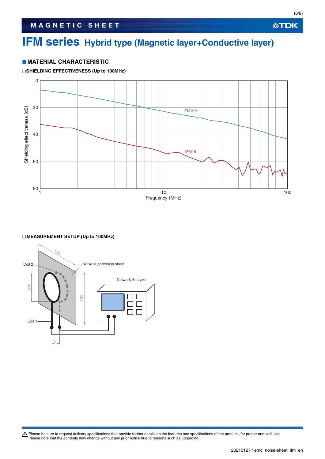## **IFM series Hybrid type (Magnetic layer+Conductive layer)**

#### **MATERIAL CHARACTERISTIC**

#### **SHIELDING EFFECTIVENESS (Up to 100MHz)**



#### **MEASUREMENT SETUP (Up to 100MHz)**



Please be sure to request delivery specifications that provide further details on the features and specifications of the products for proper and safe use.<br>Please note that the contents may change without any prior notice d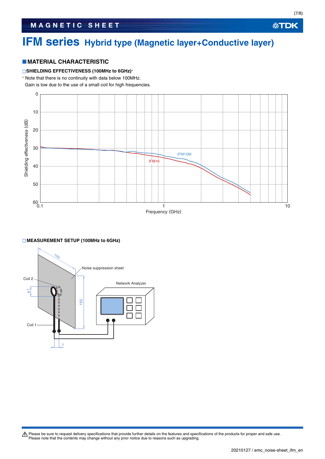## **IFM series Hybrid type (Magnetic layer+Conductive layer)**

#### **MATERIAL CHARACTERISTIC**

#### **SHIELDING EFFECTIVENESS (100MHz to 6GHz)**

Note that there is no continuity with data below 100MHz.

Gain is low due to the use of a small coil for high frequencies.



#### **MEASUREMENT SETUP (100MHz to 6GHz)**



Please be sure to request delivery specifications that provide further details on the features and specifications of the products for proper and safe use.<br>Please note that the contents may change without any prior notice d

(7/8)